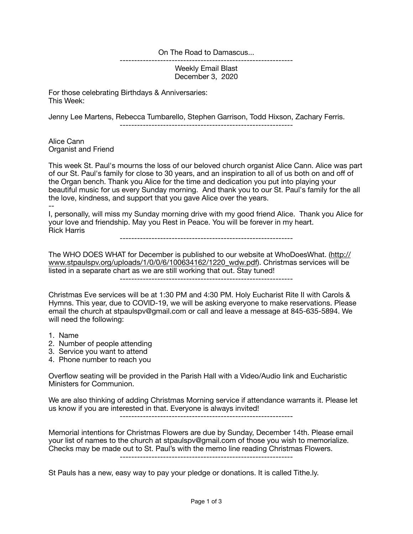On The Road to Damascus...

Weekly Email Blast December 3, 2020

------------------------------------------------------------

For those celebrating Birthdays & Anniversaries: This Week:

Jenny Lee Martens, Rebecca Tumbarello, Stephen Garrison, Todd Hixson, Zachary Ferris.

------------------------------------------------------------

Alice Cann Organist and Friend

This week St. Paul's mourns the loss of our beloved church organist Alice Cann. Alice was part of our St. Paul's family for close to 30 years, and an inspiration to all of us both on and off of the Organ bench. Thank you Alice for the time and dedication you put into playing your beautiful music for us every Sunday morning. And thank you to our St. Paul's family for the all the love, kindness, and support that you gave Alice over the years.

-- I, personally, will miss my Sunday morning drive with my good friend Alice. Thank you Alice for your love and friendship. May you Rest in Peace. You will be forever in my heart. Rick Harris

------------------------------------------------------------

The WHO DOES WHAT for December is published to our website at WhoDoesWhat. [\(http://](http://www.stpaulspv.org/uploads/1/0/0/6/100634162/1220_wdw.pdf) [www.stpaulspv.org/uploads/1/0/0/6/100634162/1220\\_wdw.pdf\)](http://www.stpaulspv.org/uploads/1/0/0/6/100634162/1220_wdw.pdf). Christmas services will be listed in a separate chart as we are still working that out. Stay tuned!

------------------------------------------------------------

Christmas Eve services will be at 1:30 PM and 4:30 PM. Holy Eucharist Rite II with Carols & Hymns. This year, due to COVID-19, we will be asking everyone to make reservations. Please email the church at stpaulspv@gmail.com or call and leave a message at 845-635-5894. We will need the following:

1. Name

- 2. Number of people attending
- 3. Service you want to attend
- 4. Phone number to reach you

Overflow seating will be provided in the Parish Hall with a Video/Audio link and Eucharistic Ministers for Communion.

We are also thinking of adding Christmas Morning service if attendance warrants it. Please let us know if you are interested in that. Everyone is always invited!

------------------------------------------------------------

Memorial intentions for Christmas Flowers are due by Sunday, December 14th. Please email your list of names to the church at stpaulspv@gmail.com of those you wish to memorialize. Checks may be made out to St. Paul's with the memo line reading Christmas Flowers.

------------------------------------------------------------

St Pauls has a new, easy way to pay your pledge or donations. It is called Tithe.ly.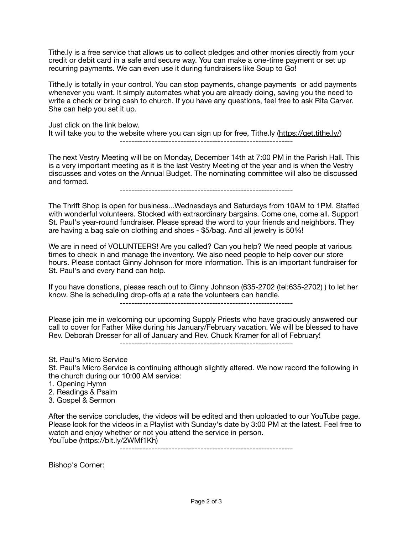Tithe.ly is a free service that allows us to collect pledges and other monies directly from your credit or debit card in a safe and secure way. You can make a one-time payment or set up recurring payments. We can even use it during fundraisers like Soup to Go!

Tithe.ly is totally in your control. You can stop payments, change payments or add payments whenever you want. It simply automates what you are already doing, saving you the need to write a check or bring cash to church. If you have any questions, feel free to ask Rita Carver. She can help you set it up.

Just click on the link below. It will take you to the website where you can sign up for free, Tithe.ly ([https://get.tithe.ly/\)](https://get.tithe.ly/) ------------------------------------------------------------

The next Vestry Meeting will be on Monday, December 14th at 7:00 PM in the Parish Hall. This is a very important meeting as it is the last Vestry Meeting of the year and is when the Vestry discusses and votes on the Annual Budget. The nominating committee will also be discussed and formed.

------------------------------------------------------------

The Thrift Shop is open for business...Wednesdays and Saturdays from 10AM to 1PM. Staffed with wonderful volunteers. Stocked with extraordinary bargains. Come one, come all. Support St. Paul's year-round fundraiser. Please spread the word to your friends and neighbors. They are having a bag sale on clothing and shoes - \$5/bag. And all jewelry is 50%!

We are in need of VOLUNTEERS! Are you called? Can you help? We need people at various times to check in and manage the inventory. We also need people to help cover our store hours. Please contact Ginny Johnson for more information. This is an important fundraiser for St. Paul's and every hand can help.

If you have donations, please reach out to Ginny Johnson (635-2702 (tel:635-2702) ) to let her know. She is scheduling drop-offs at a rate the volunteers can handle.

------------------------------------------------------------

Please join me in welcoming our upcoming Supply Priests who have graciously answered our call to cover for Father Mike during his January/February vacation. We will be blessed to have Rev. Deborah Dresser for all of January and Rev. Chuck Kramer for all of February!

------------------------------------------------------------

St. Paul's Micro Service St. Paul's Micro Service is continuing although slightly altered. We now record the following in the church during our 10:00 AM service:

- 1. Opening Hymn
- 2. Readings & Psalm
- 3. Gospel & Sermon

After the service concludes, the videos will be edited and then uploaded to our YouTube page. Please look for the videos in a Playlist with Sunday's date by 3:00 PM at the latest. Feel free to watch and enjoy whether or not you attend the service in person. YouTube (https://bit.ly/2WMf1Kh)

------------------------------------------------------------

Bishop's Corner: